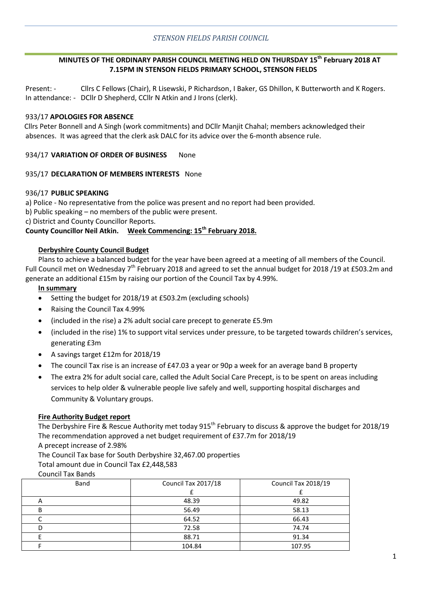## **MINUTES OF THE ORDINARY PARISH COUNCIL MEETING HELD ON THURSDAY 15th February 2018 AT 7.15PM IN STENSON FIELDS PRIMARY SCHOOL, STENSON FIELDS**

Present: - Cllrs C Fellows (Chair), R Lisewski, P Richardson, I Baker, GS Dhillon, K Butterworth and K Rogers. In attendance: - DCllr D Shepherd, CCllr N Atkin and J Irons (clerk).

### 933/17 **APOLOGIES FOR ABSENCE**

Cllrs Peter Bonnell and A Singh (work commitments) and DCllr Manjit Chahal; members acknowledged their absences. It was agreed that the clerk ask DALC for its advice over the 6-month absence rule.

### 934/17 **VARIATION OF ORDER OF BUSINESS** None

#### 935/17 **DECLARATION OF MEMBERS INTERESTS** None

#### 936/17 **PUBLIC SPEAKING**

a) Police - No representative from the police was present and no report had been provided.

b) Public speaking – no members of the public were present.

c) District and County Councillor Reports.

# **County Councillor Neil Atkin. Week Commencing: 15th February 2018.**

### **Derbyshire County Council Budget**

Plans to achieve a balanced budget for the year have been agreed at a meeting of all members of the Council. Full Council met on Wednesday 7<sup>th</sup> February 2018 and agreed to set the annual budget for 2018 /19 at £503.2m and generate an additional £15m by raising our portion of the Council Tax by 4.99%.

#### **In summary**

- Setting the budget for 2018/19 at £503.2m (excluding schools)
- Raising the Council Tax 4.99%
- (included in the rise) a 2% adult social care precept to generate £5.9m
- (included in the rise) 1% to support vital services under pressure, to be targeted towards children's services, generating £3m
- A savings target £12m for 2018/19
- The council Tax rise is an increase of £47.03 a year or 90p a week for an average band B property
- The extra 2% for adult social care, called the Adult Social Care Precept, is to be spent on areas including services to help older & vulnerable people live safely and well, supporting hospital discharges and Community & Voluntary groups.

### **Fire Authority Budget report**

The Derbyshire Fire & Rescue Authority met today  $915^{th}$  February to discuss & approve the budget for 2018/19 The recommendation approved a net budget requirement of £37.7m for 2018/19

A precept increase of 2.98%

The Council Tax base for South Derbyshire 32,467.00 properties Total amount due in Council Tax £2,448,583

Council Tax Bands

| Band | Council Tax 2017/18 | Council Tax 2018/19 |  |
|------|---------------------|---------------------|--|
|      |                     |                     |  |
|      | 48.39               | 49.82               |  |
| В    | 56.49               | 58.13               |  |
|      | 64.52               | 66.43               |  |
| D    | 72.58               | 74.74               |  |
|      | 88.71               | 91.34               |  |
|      | 104.84              | 107.95              |  |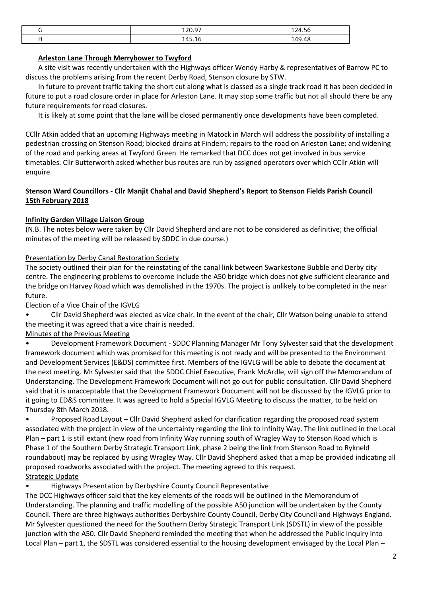| ־0 חכ1<br>120.57       | 1 J A E G<br>.  ټ<br>ᅩᄼ |
|------------------------|-------------------------|
| 1 A E 1 C<br>.⊥∪<br>-- | 149.48                  |

## **Arleston Lane Through Merrybower to Twyford**

A site visit was recently undertaken with the Highways officer Wendy Harby & representatives of Barrow PC to discuss the problems arising from the recent Derby Road, Stenson closure by STW.

In future to prevent traffic taking the short cut along what is classed as a single track road it has been decided in future to put a road closure order in place for Arleston Lane. It may stop some traffic but not all should there be any future requirements for road closures.

It is likely at some point that the lane will be closed permanently once developments have been completed.

CCllr Atkin added that an upcoming Highways meeting in Matock in March will address the possibility of installing a pedestrian crossing on Stenson Road; blocked drains at Findern; repairs to the road on Arleston Lane; and widening of the road and parking areas at Twyford Green. He remarked that DCC does not get involved in bus service timetables. Cllr Butterworth asked whether bus routes are run by assigned operators over which CCllr Atkin will enquire.

## **Stenson Ward Councillors - Cllr Manjit Chahal and David Shepherd's Report to Stenson Fields Parish Council 15th February 2018**

## **Infinity Garden Village Liaison Group**

(N.B. The notes below were taken by Cllr David Shepherd and are not to be considered as definitive; the official minutes of the meeting will be released by SDDC in due course.)

## Presentation by Derby Canal Restoration Society

The society outlined their plan for the reinstating of the canal link between Swarkestone Bubble and Derby city centre. The engineering problems to overcome include the A50 bridge which does not give sufficient clearance and the bridge on Harvey Road which was demolished in the 1970s. The project is unlikely to be completed in the near future.

Election of a Vice Chair of the IGVLG

• Cllr David Shepherd was elected as vice chair. In the event of the chair, Cllr Watson being unable to attend the meeting it was agreed that a vice chair is needed.

## Minutes of the Previous Meeting

• Development Framework Document - SDDC Planning Manager Mr Tony Sylvester said that the development framework document which was promised for this meeting is not ready and will be presented to the Environment and Development Services (E&DS) committee first. Members of the IGVLG will be able to debate the document at the next meeting. Mr Sylvester said that the SDDC Chief Executive, Frank McArdle, will sign off the Memorandum of Understanding. The Development Framework Document will not go out for public consultation. Cllr David Shepherd said that it is unacceptable that the Development Framework Document will not be discussed by the IGVLG prior to it going to ED&S committee. It was agreed to hold a Special IGVLG Meeting to discuss the matter, to be held on Thursday 8th March 2018.

• Proposed Road Layout – Cllr David Shepherd asked for clarification regarding the proposed road system associated with the project in view of the uncertainty regarding the link to Infinity Way. The link outlined in the Local Plan – part 1 is still extant (new road from Infinity Way running south of Wragley Way to Stenson Road which is Phase 1 of the Southern Derby Strategic Transport Link, phase 2 being the link from Stenson Road to Rykneld roundabout) may be replaced by using Wragley Way. Cllr David Shepherd asked that a map be provided indicating all proposed roadworks associated with the project. The meeting agreed to this request. Strategic Update

• Highways Presentation by Derbyshire County Council Representative

The DCC Highways officer said that the key elements of the roads will be outlined in the Memorandum of Understanding. The planning and traffic modelling of the possible A50 junction will be undertaken by the County Council. There are three highways authorities Derbyshire County Council, Derby City Council and Highways England. Mr Sylvester questioned the need for the Southern Derby Strategic Transport Link (SDSTL) in view of the possible junction with the A50. Cllr David Shepherd reminded the meeting that when he addressed the Public Inquiry into Local Plan – part 1, the SDSTL was considered essential to the housing development envisaged by the Local Plan –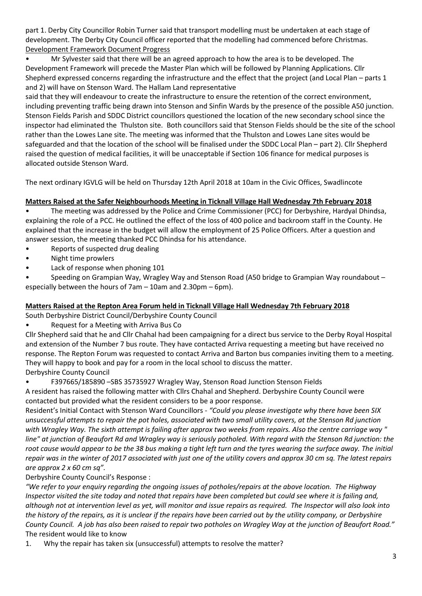part 1. Derby City Councillor Robin Turner said that transport modelling must be undertaken at each stage of development. The Derby City Council officer reported that the modelling had commenced before Christmas. Development Framework Document Progress

• Mr Sylvester said that there will be an agreed approach to how the area is to be developed. The Development Framework will precede the Master Plan which will be followed by Planning Applications. Cllr Shepherd expressed concerns regarding the infrastructure and the effect that the project (and Local Plan – parts 1 and 2) will have on Stenson Ward. The Hallam Land representative

said that they will endeavour to create the infrastructure to ensure the retention of the correct environment, including preventing traffic being drawn into Stenson and Sinfin Wards by the presence of the possible A50 junction. Stenson Fields Parish and SDDC District councillors questioned the location of the new secondary school since the inspector had eliminated the Thulston site. Both councillors said that Stenson Fields should be the site of the school rather than the Lowes Lane site. The meeting was informed that the Thulston and Lowes Lane sites would be safeguarded and that the location of the school will be finalised under the SDDC Local Plan – part 2). Cllr Shepherd raised the question of medical facilities, it will be unacceptable if Section 106 finance for medical purposes is allocated outside Stenson Ward.

The next ordinary IGVLG will be held on Thursday 12th April 2018 at 10am in the Civic Offices, Swadlincote

# **Matters Raised at the Safer Neighbourhoods Meeting in Ticknall Village Hall Wednesday 7th February 2018**

• The meeting was addressed by the Police and Crime Commissioner (PCC) for Derbyshire, Hardyal Dhindsa, explaining the role of a PCC. He outlined the effect of the loss of 400 police and backroom staff in the County. He explained that the increase in the budget will allow the employment of 25 Police Officers. After a question and answer session, the meeting thanked PCC Dhindsa for his attendance.

- Reports of suspected drug dealing
- Night time prowlers
- Lack of response when phoning 101

• Speeding on Grampian Way, Wragley Way and Stenson Road (A50 bridge to Grampian Way roundabout – especially between the hours of 7am – 10am and 2.30pm – 6pm).

# **Matters Raised at the Repton Area Forum held in Ticknall Village Hall Wednesday 7th February 2018**

South Derbyshire District Council/Derbyshire County Council

• Request for a Meeting with Arriva Bus Co

Cllr Shepherd said that he and Cllr Chahal had been campaigning for a direct bus service to the Derby Royal Hospital and extension of the Number 7 bus route. They have contacted Arriva requesting a meeting but have received no response. The Repton Forum was requested to contact Arriva and Barton bus companies inviting them to a meeting. They will happy to book and pay for a room in the local school to discuss the matter. Derbyshire County Council

• F397665/185890 –SBS 35735927 Wragley Way, Stenson Road Junction Stenson Fields

A resident has raised the following matter with Cllrs Chahal and Shepherd. Derbyshire County Council were contacted but provided what the resident considers to be a poor response.

Resident's Initial Contact with Stenson Ward Councillors - *"Could you please investigate why there have been SIX unsuccessful attempts to repair the pot holes, associated with two small utility covers, at the Stenson Rd junction with Wragley Way. The sixth attempt is failing after approx two weeks from repairs. Also the centre carriage way " line" at junction of Beaufort Rd and Wragley way is seriously potholed. With regard with the Stenson Rd junction: the root cause would appear to be the 38 bus making a tight left turn and the tyres wearing the surface away. The initial repair was in the winter of 2017 associated with just one of the utility covers and approx 30 cm sq. The latest repairs are approx 2 x 60 cm sq".* 

# Derbyshire County Council's Response :

*"We refer to your enquiry regarding the ongoing issues of potholes/repairs at the above location. The Highway Inspector visited the site today and noted that repairs have been completed but could see where it is failing and, although not at intervention level as yet, will monitor and issue repairs as required. The Inspector will also look into the history of the repairs, as it is unclear if the repairs have been carried out by the utility company, or Derbyshire County Council. A job has also been raised to repair two potholes on Wragley Way at the junction of Beaufort Road."*  The resident would like to know

1. Why the repair has taken six (unsuccessful) attempts to resolve the matter?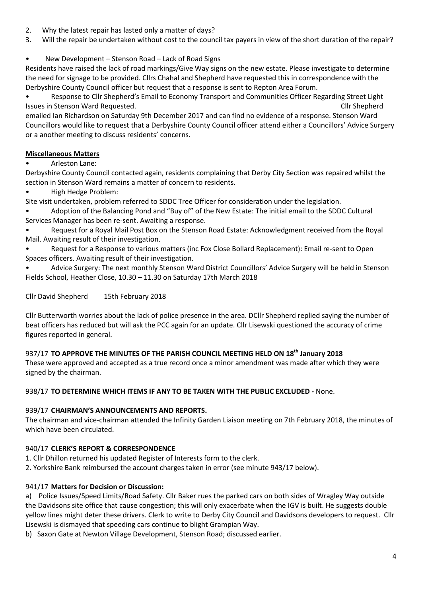- 2. Why the latest repair has lasted only a matter of days?
- 3. Will the repair be undertaken without cost to the council tax payers in view of the short duration of the repair?

# • New Development – Stenson Road – Lack of Road Signs

Residents have raised the lack of road markings/Give Way signs on the new estate. Please investigate to determine the need for signage to be provided. Cllrs Chahal and Shepherd have requested this in correspondence with the Derbyshire County Council officer but request that a response is sent to Repton Area Forum.

• Response to Cllr Shepherd's Email to Economy Transport and Communities Officer Regarding Street Light Issues in Stenson Ward Requested. Cllr Shepherd

emailed Ian Richardson on Saturday 9th December 2017 and can find no evidence of a response. Stenson Ward Councillors would like to request that a Derbyshire County Council officer attend either a Councillors' Advice Surgery or a another meeting to discuss residents' concerns.

# **Miscellaneous Matters**

• Arleston Lane:

Derbyshire County Council contacted again, residents complaining that Derby City Section was repaired whilst the section in Stenson Ward remains a matter of concern to residents.

• High Hedge Problem:

Site visit undertaken, problem referred to SDDC Tree Officer for consideration under the legislation.

• Adoption of the Balancing Pond and "Buy of" of the New Estate: The initial email to the SDDC Cultural Services Manager has been re-sent. Awaiting a response.

• Request for a Royal Mail Post Box on the Stenson Road Estate: Acknowledgment received from the Royal Mail. Awaiting result of their investigation.

• Request for a Response to various matters (inc Fox Close Bollard Replacement): Email re-sent to Open Spaces officers. Awaiting result of their investigation.

• Advice Surgery: The next monthly Stenson Ward District Councillors' Advice Surgery will be held in Stenson Fields School, Heather Close, 10.30 – 11.30 on Saturday 17th March 2018

Cllr David Shepherd 15th February 2018

Cllr Butterworth worries about the lack of police presence in the area. DCllr Shepherd replied saying the number of beat officers has reduced but will ask the PCC again for an update. Cllr Lisewski questioned the accuracy of crime figures reported in general.

# 937/17 **TO APPROVE THE MINUTES OF THE PARISH COUNCIL MEETING HELD ON 18th January 2018**

These were approved and accepted as a true record once a minor amendment was made after which they were signed by the chairman.

## 938/17 **TO DETERMINE WHICH ITEMS IF ANY TO BE TAKEN WITH THE PUBLIC EXCLUDED -** None.

## 939/17 **CHAIRMAN'S ANNOUNCEMENTS AND REPORTS.**

The chairman and vice-chairman attended the Infinity Garden Liaison meeting on 7th February 2018, the minutes of which have been circulated.

# 940/17 **CLERK'S REPORT & CORRESPONDENCE**

1. Cllr Dhillon returned his updated Register of Interests form to the clerk.

2. Yorkshire Bank reimbursed the account charges taken in error (see minute 943/17 below).

# 941/17 **Matters for Decision or Discussion:**

a) Police Issues/Speed Limits/Road Safety. Cllr Baker rues the parked cars on both sides of Wragley Way outside the Davidsons site office that cause congestion; this will only exacerbate when the IGV is built. He suggests double yellow lines might deter these drivers. Clerk to write to Derby City Council and Davidsons developers to request. Cllr Lisewski is dismayed that speeding cars continue to blight Grampian Way.

b) Saxon Gate at Newton Village Development, Stenson Road; discussed earlier.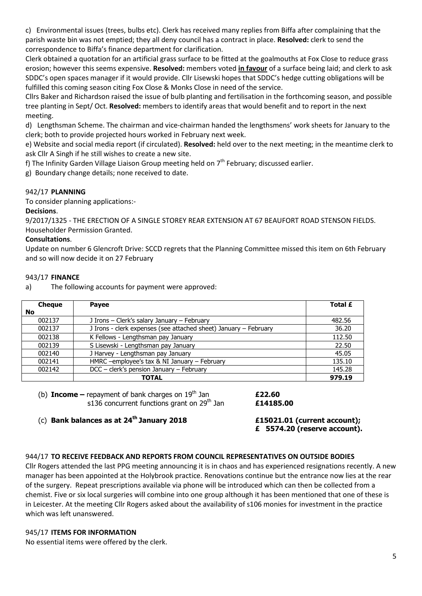c) Environmental issues (trees, bulbs etc). Clerk has received many replies from Biffa after complaining that the parish waste bin was not emptied; they all deny council has a contract in place. **Resolved:** clerk to send the correspondence to Biffa's finance department for clarification.

Clerk obtained a quotation for an artificial grass surface to be fitted at the goalmouths at Fox Close to reduce grass erosion; however this seems expensive. **Resolved:** members voted **in favour** of a surface being laid; and clerk to ask SDDC's open spaces manager if it would provide. Cllr Lisewski hopes that SDDC's hedge cutting obligations will be fulfilled this coming season citing Fox Close & Monks Close in need of the service.

Cllrs Baker and Richardson raised the issue of bulb planting and fertilisation in the forthcoming season, and possible tree planting in Sept/ Oct. **Resolved:** members to identify areas that would benefit and to report in the next meeting.

d) Lengthsman Scheme. The chairman and vice-chairman handed the lengthsmens' work sheets for January to the clerk; both to provide projected hours worked in February next week.

e) Website and social media report (if circulated). **Resolved:** held over to the next meeting; in the meantime clerk to ask Cllr A Singh if he still wishes to create a new site.

f) The Infinity Garden Village Liaison Group meeting held on  $7<sup>th</sup>$  February; discussed earlier.

g) Boundary change details; none received to date.

## 942/17 **PLANNING**

To consider planning applications:-

## **Decisions**.

9/2017/1325 - THE ERECTION OF A SINGLE STOREY REAR EXTENSION AT 67 BEAUFORT ROAD STENSON FIELDS. Householder Permission Granted.

## **Consultations**.

Update on number 6 Glencroft Drive: SCCD regrets that the Planning Committee missed this item on 6th February and so will now decide it on 27 February

## 943/17 **FINANCE**

a) The following accounts for payment were approved:

| <b>Cheque</b> | <b>Payee</b>                                                     | Total £ |
|---------------|------------------------------------------------------------------|---------|
| <b>No</b>     |                                                                  |         |
| 002137        | J Irons - Clerk's salary January - February                      | 482.56  |
| 002137        | J Irons - clerk expenses (see attached sheet) January - February | 36.20   |
| 002138        | K Fellows - Lengthsman pay January                               | 112.50  |
| 002139        | S Lisewski - Lengthsman pay January                              | 22.50   |
| 002140        | J Harvey - Lengthsman pay January                                | 45.05   |
| 002141        | HMRC -employee's tax & NI January - February                     | 135.10  |
| 002142        | DCC - clerk's pension January - February                         | 145.28  |
|               | <b>TOTAL</b>                                                     | 979.19  |

(b) **Income** – repayment of bank charges on 19<sup>th</sup> Jan **£22.60**<br>s136 concurrent functions grant on 29<sup>th</sup> Jan **£14185.00** s136 concurrent functions grant on 29<sup>th</sup> Jan

(c) **Bank balances as at 24th January 2018 £15021.01 (current account);** 

**£ 5574.20 (reserve account).** 

# 944/17 **TO RECEIVE FEEDBACK AND REPORTS FROM COUNCIL REPRESENTATIVES ON OUTSIDE BODIES**

Cllr Rogers attended the last PPG meeting announcing it is in chaos and has experienced resignations recently. A new manager has been appointed at the Holybrook practice. Renovations continue but the entrance now lies at the rear of the surgery. Repeat prescriptions available via phone will be introduced which can then be collected from a chemist. Five or six local surgeries will combine into one group although it has been mentioned that one of these is in Leicester. At the meeting Cllr Rogers asked about the availability of s106 monies for investment in the practice which was left unanswered.

### 945/17 **ITEMS FOR INFORMATION**

No essential items were offered by the clerk.